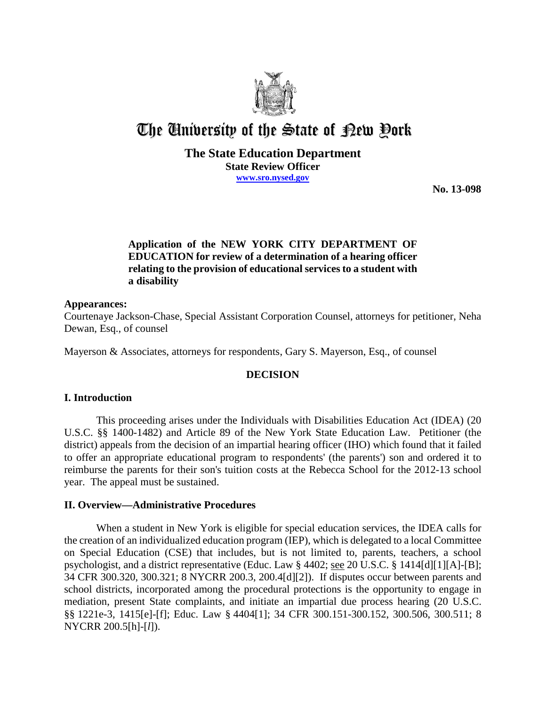

# The University of the State of Pew Pork

## **The State Education Department State Review Officer www.sro.nysed.gov**

**No. 13-098**

# **Application of the NEW YORK CITY DEPARTMENT OF EDUCATION for review of a determination of a hearing officer relating to the provision of educational services to a student with a disability**

#### **Appearances:**

Courtenaye Jackson-Chase, Special Assistant Corporation Counsel, attorneys for petitioner, Neha Dewan, Esq., of counsel

Mayerson & Associates, attorneys for respondents, Gary S. Mayerson, Esq., of counsel

## **DECISION**

## **I. Introduction**

This proceeding arises under the Individuals with Disabilities Education Act (IDEA) (20 U.S.C. §§ 1400-1482) and Article 89 of the New York State Education Law. Petitioner (the district) appeals from the decision of an impartial hearing officer (IHO) which found that it failed to offer an appropriate educational program to respondents' (the parents') son and ordered it to reimburse the parents for their son's tuition costs at the Rebecca School for the 2012-13 school year. The appeal must be sustained.

## **II. Overview—Administrative Procedures**

When a student in New York is eligible for special education services, the IDEA calls for the creation of an individualized education program (IEP), which is delegated to a local Committee on Special Education (CSE) that includes, but is not limited to, parents, teachers, a school psychologist, and a district representative (Educ. Law § 4402; see 20 U.S.C. § 1414[d][1][A]-[B]; 34 CFR 300.320, 300.321; 8 NYCRR 200.3, 200.4[d][2]). If disputes occur between parents and school districts, incorporated among the procedural protections is the opportunity to engage in mediation, present State complaints, and initiate an impartial due process hearing (20 U.S.C. §§ 1221e-3, 1415[e]-[f]; Educ. Law § 4404[1]; 34 CFR 300.151-300.152, 300.506, 300.511; 8 NYCRR 200.5[h]-[*l*]).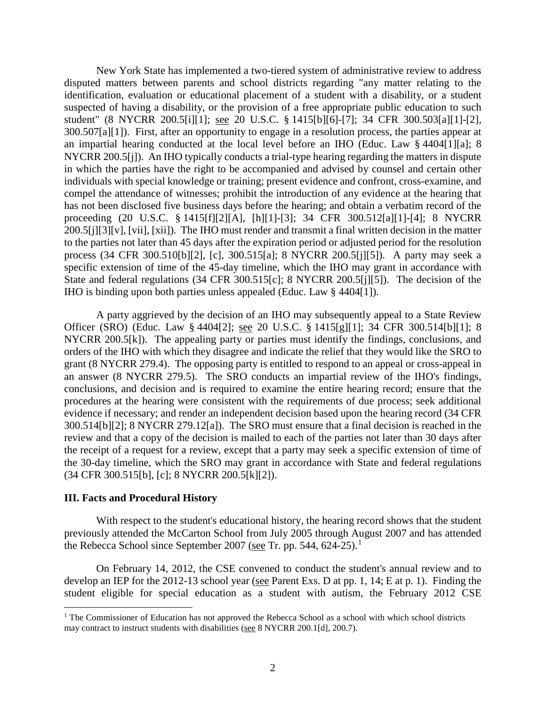New York State has implemented a two-tiered system of administrative review to address disputed matters between parents and school districts regarding "any matter relating to the identification, evaluation or educational placement of a student with a disability, or a student suspected of having a disability, or the provision of a free appropriate public education to such student" (8 NYCRR 200.5[i][1]; see 20 U.S.C. § 1415[b][6]-[7]; 34 CFR 300.503[a][1]-[2], 300.507[a][1]). First, after an opportunity to engage in a resolution process, the parties appear at an impartial hearing conducted at the local level before an IHO (Educ. Law § 4404[1][a]; 8 NYCRR 200.5[j]). An IHO typically conducts a trial-type hearing regarding the matters in dispute in which the parties have the right to be accompanied and advised by counsel and certain other individuals with special knowledge or training; present evidence and confront, cross-examine, and compel the attendance of witnesses; prohibit the introduction of any evidence at the hearing that has not been disclosed five business days before the hearing; and obtain a verbatim record of the proceeding (20 U.S.C. § 1415[f][2][A], [h][1]-[3]; 34 CFR 300.512[a][1]-[4]; 8 NYCRR 200.5[j][3][v], [vii], [xii]). The IHO must render and transmit a final written decision in the matter to the parties not later than 45 days after the expiration period or adjusted period for the resolution process (34 CFR 300.510[b][2], [c], 300.515[a]; 8 NYCRR 200.5[j][5]). A party may seek a specific extension of time of the 45-day timeline, which the IHO may grant in accordance with State and federal regulations (34 CFR 300.515[c]; 8 NYCRR 200.5[j][5]). The decision of the IHO is binding upon both parties unless appealed (Educ. Law § 4404[1]).

A party aggrieved by the decision of an IHO may subsequently appeal to a State Review Officer (SRO) (Educ. Law § 4404[2]; see 20 U.S.C. § 1415[g][1]; 34 CFR 300.514[b][1]; 8 NYCRR 200.5[k]). The appealing party or parties must identify the findings, conclusions, and orders of the IHO with which they disagree and indicate the relief that they would like the SRO to grant (8 NYCRR 279.4). The opposing party is entitled to respond to an appeal or cross-appeal in an answer (8 NYCRR 279.5). The SRO conducts an impartial review of the IHO's findings, conclusions, and decision and is required to examine the entire hearing record; ensure that the procedures at the hearing were consistent with the requirements of due process; seek additional evidence if necessary; and render an independent decision based upon the hearing record (34 CFR 300.514[b][2]; 8 NYCRR 279.12[a]). The SRO must ensure that a final decision is reached in the review and that a copy of the decision is mailed to each of the parties not later than 30 days after the receipt of a request for a review, except that a party may seek a specific extension of time of the 30-day timeline, which the SRO may grant in accordance with State and federal regulations (34 CFR 300.515[b], [c]; 8 NYCRR 200.5[k][2]).

#### **III. Facts and Procedural History**

With respect to the student's educational history, the hearing record shows that the student previously attended the McCarton School from July 2005 through August 2007 and has attended the Rebecca School since September 2007 (see Tr. pp. 544, 624-25).<sup>1</sup>

On February 14, 2012, the CSE convened to conduct the student's annual review and to develop an IEP for the 2012-13 school year (see Parent Exs. D at pp. 1, 14; E at p. 1). Finding the student eligible for special education as a student with autism, the February 2012 CSE

<sup>&</sup>lt;sup>1</sup> The Commissioner of Education has not approved the Rebecca School as a school with which school districts may contract to instruct students with disabilities (see 8 NYCRR 200.1[d], 200.7).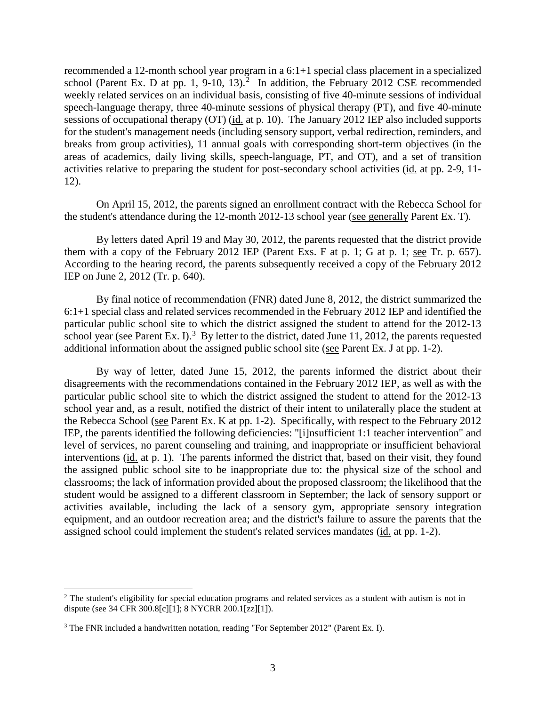recommended a 12-month school year program in a 6:1+1 special class placement in a specialized school (Parent Ex. D at pp. 1, 9-10, 13).<sup>2</sup> In addition, the February 2012 CSE recommended weekly related services on an individual basis, consisting of five 40-minute sessions of individual speech-language therapy, three 40-minute sessions of physical therapy (PT), and five 40-minute sessions of occupational therapy (OT) (id. at p. 10). The January 2012 IEP also included supports for the student's management needs (including sensory support, verbal redirection, reminders, and breaks from group activities), 11 annual goals with corresponding short-term objectives (in the areas of academics, daily living skills, speech-language, PT, and OT), and a set of transition activities relative to preparing the student for post-secondary school activities (id. at pp. 2-9, 11- 12).

On April 15, 2012, the parents signed an enrollment contract with the Rebecca School for the student's attendance during the 12-month 2012-13 school year (see generally Parent Ex. T).

By letters dated April 19 and May 30, 2012, the parents requested that the district provide them with a copy of the February 2012 IEP (Parent Exs. F at p. 1; G at p. 1; see Tr. p. 657). According to the hearing record, the parents subsequently received a copy of the February 2012 IEP on June 2, 2012 (Tr. p. 640).

By final notice of recommendation (FNR) dated June 8, 2012, the district summarized the 6:1+1 special class and related services recommended in the February 2012 IEP and identified the particular public school site to which the district assigned the student to attend for the 2012-13 school year (see Parent Ex. I).<sup>3</sup> By letter to the district, dated June 11, 2012, the parents requested additional information about the assigned public school site (see Parent Ex. J at pp. 1-2).

By way of letter, dated June 15, 2012, the parents informed the district about their disagreements with the recommendations contained in the February 2012 IEP, as well as with the particular public school site to which the district assigned the student to attend for the 2012-13 school year and, as a result, notified the district of their intent to unilaterally place the student at the Rebecca School (see Parent Ex. K at pp. 1-2). Specifically, with respect to the February 2012 IEP, the parents identified the following deficiencies: "[i]nsufficient 1:1 teacher intervention" and level of services, no parent counseling and training, and inappropriate or insufficient behavioral interventions (id. at p. 1). The parents informed the district that, based on their visit, they found the assigned public school site to be inappropriate due to: the physical size of the school and classrooms; the lack of information provided about the proposed classroom; the likelihood that the student would be assigned to a different classroom in September; the lack of sensory support or activities available, including the lack of a sensory gym, appropriate sensory integration equipment, and an outdoor recreation area; and the district's failure to assure the parents that the assigned school could implement the student's related services mandates (id. at pp. 1-2).

<sup>&</sup>lt;sup>2</sup> The student's eligibility for special education programs and related services as a student with autism is not in dispute (see 34 CFR 300.8[c][1]; 8 NYCRR 200.1[zz][1]).

<sup>&</sup>lt;sup>3</sup> The FNR included a handwritten notation, reading "For September 2012" (Parent Ex. I).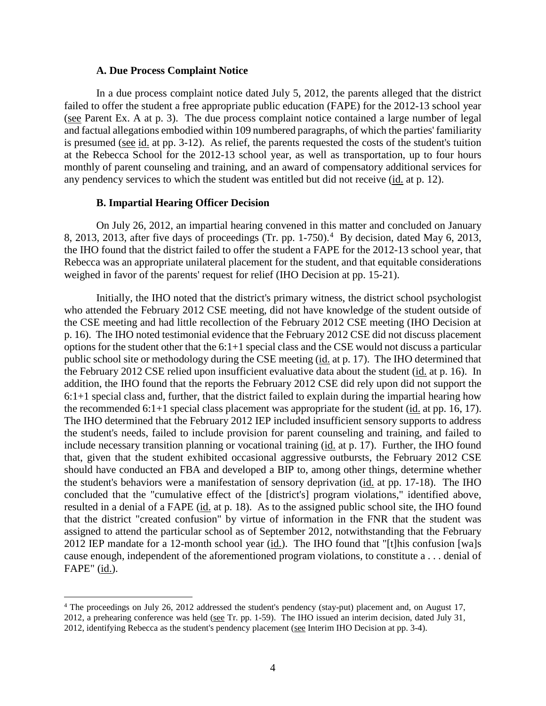#### **A. Due Process Complaint Notice**

In a due process complaint notice dated July 5, 2012, the parents alleged that the district failed to offer the student a free appropriate public education (FAPE) for the 2012-13 school year (see Parent Ex. A at p. 3). The due process complaint notice contained a large number of legal and factual allegations embodied within 109 numbered paragraphs, of which the parties' familiarity is presumed (see id. at pp. 3-12). As relief, the parents requested the costs of the student's tuition at the Rebecca School for the 2012-13 school year, as well as transportation, up to four hours monthly of parent counseling and training, and an award of compensatory additional services for any pendency services to which the student was entitled but did not receive (id. at p. 12).

#### **B. Impartial Hearing Officer Decision**

On July 26, 2012, an impartial hearing convened in this matter and concluded on January 8, 2013, 2013, after five days of proceedings (Tr. pp. 1-750).<sup>4</sup> By decision, dated May 6, 2013, the IHO found that the district failed to offer the student a FAPE for the 2012-13 school year, that Rebecca was an appropriate unilateral placement for the student, and that equitable considerations weighed in favor of the parents' request for relief (IHO Decision at pp. 15-21).

Initially, the IHO noted that the district's primary witness, the district school psychologist who attended the February 2012 CSE meeting, did not have knowledge of the student outside of the CSE meeting and had little recollection of the February 2012 CSE meeting (IHO Decision at p. 16). The IHO noted testimonial evidence that the February 2012 CSE did not discuss placement options for the student other that the 6:1+1 special class and the CSE would not discuss a particular public school site or methodology during the CSE meeting (id. at p. 17). The IHO determined that the February 2012 CSE relied upon insufficient evaluative data about the student (id. at p. 16). In addition, the IHO found that the reports the February 2012 CSE did rely upon did not support the 6:1+1 special class and, further, that the district failed to explain during the impartial hearing how the recommended  $6:1+1$  special class placement was appropriate for the student (id. at pp. 16, 17). The IHO determined that the February 2012 IEP included insufficient sensory supports to address the student's needs, failed to include provision for parent counseling and training, and failed to include necessary transition planning or vocational training (id. at p. 17). Further, the IHO found that, given that the student exhibited occasional aggressive outbursts, the February 2012 CSE should have conducted an FBA and developed a BIP to, among other things, determine whether the student's behaviors were a manifestation of sensory deprivation (id. at pp. 17-18). The IHO concluded that the "cumulative effect of the [district's] program violations," identified above, resulted in a denial of a FAPE (id. at p. 18). As to the assigned public school site, the IHO found that the district "created confusion" by virtue of information in the FNR that the student was assigned to attend the particular school as of September 2012, notwithstanding that the February 2012 IEP mandate for a 12-month school year  $(id.)$ . The IHO found that "[t]his confusion [wa]s cause enough, independent of the aforementioned program violations, to constitute a . . . denial of FAPE" (id.).

<sup>&</sup>lt;sup>4</sup> The proceedings on July 26, 2012 addressed the student's pendency (stay-put) placement and, on August 17, 2012, a prehearing conference was held (see Tr. pp. 1-59). The IHO issued an interim decision, dated July 31, 2012, identifying Rebecca as the student's pendency placement (see Interim IHO Decision at pp. 3-4).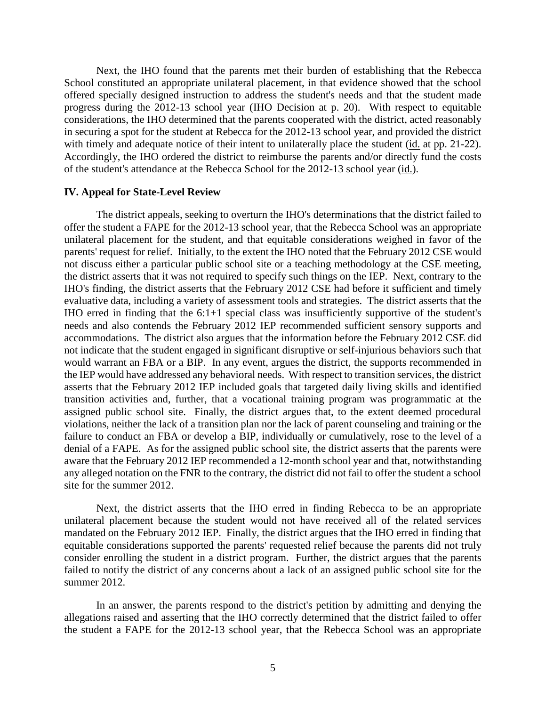Next, the IHO found that the parents met their burden of establishing that the Rebecca School constituted an appropriate unilateral placement, in that evidence showed that the school offered specially designed instruction to address the student's needs and that the student made progress during the 2012-13 school year (IHO Decision at p. 20). With respect to equitable considerations, the IHO determined that the parents cooperated with the district, acted reasonably in securing a spot for the student at Rebecca for the 2012-13 school year, and provided the district with timely and adequate notice of their intent to unilaterally place the student (id. at pp. 21-22). Accordingly, the IHO ordered the district to reimburse the parents and/or directly fund the costs of the student's attendance at the Rebecca School for the 2012-13 school year (id.).

#### **IV. Appeal for State-Level Review**

The district appeals, seeking to overturn the IHO's determinations that the district failed to offer the student a FAPE for the 2012-13 school year, that the Rebecca School was an appropriate unilateral placement for the student, and that equitable considerations weighed in favor of the parents' request for relief. Initially, to the extent the IHO noted that the February 2012 CSE would not discuss either a particular public school site or a teaching methodology at the CSE meeting, the district asserts that it was not required to specify such things on the IEP. Next, contrary to the IHO's finding, the district asserts that the February 2012 CSE had before it sufficient and timely evaluative data, including a variety of assessment tools and strategies. The district asserts that the IHO erred in finding that the 6:1+1 special class was insufficiently supportive of the student's needs and also contends the February 2012 IEP recommended sufficient sensory supports and accommodations. The district also argues that the information before the February 2012 CSE did not indicate that the student engaged in significant disruptive or self-injurious behaviors such that would warrant an FBA or a BIP. In any event, argues the district, the supports recommended in the IEP would have addressed any behavioral needs. With respect to transition services, the district asserts that the February 2012 IEP included goals that targeted daily living skills and identified transition activities and, further, that a vocational training program was programmatic at the assigned public school site. Finally, the district argues that, to the extent deemed procedural violations, neither the lack of a transition plan nor the lack of parent counseling and training or the failure to conduct an FBA or develop a BIP, individually or cumulatively, rose to the level of a denial of a FAPE. As for the assigned public school site, the district asserts that the parents were aware that the February 2012 IEP recommended a 12-month school year and that, notwithstanding any alleged notation on the FNR to the contrary, the district did not fail to offer the student a school site for the summer 2012.

Next, the district asserts that the IHO erred in finding Rebecca to be an appropriate unilateral placement because the student would not have received all of the related services mandated on the February 2012 IEP. Finally, the district argues that the IHO erred in finding that equitable considerations supported the parents' requested relief because the parents did not truly consider enrolling the student in a district program. Further, the district argues that the parents failed to notify the district of any concerns about a lack of an assigned public school site for the summer 2012.

In an answer, the parents respond to the district's petition by admitting and denying the allegations raised and asserting that the IHO correctly determined that the district failed to offer the student a FAPE for the 2012-13 school year, that the Rebecca School was an appropriate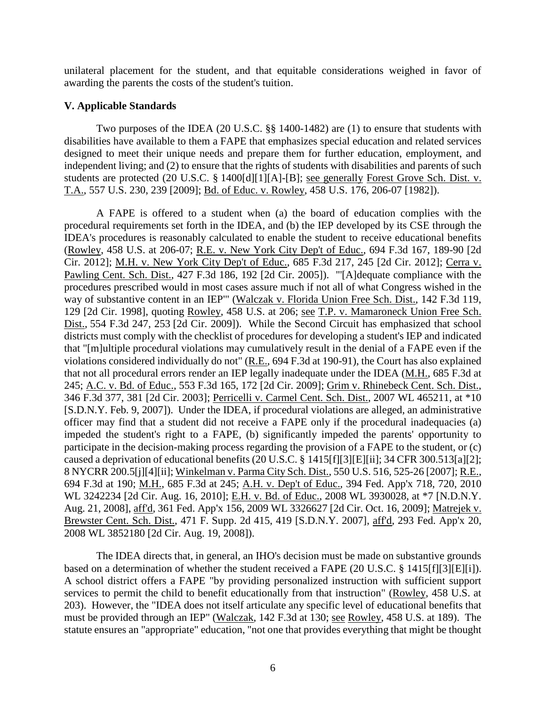unilateral placement for the student, and that equitable considerations weighed in favor of awarding the parents the costs of the student's tuition.

# **V. Applicable Standards**

Two purposes of the IDEA (20 U.S.C. §§ 1400-1482) are (1) to ensure that students with disabilities have available to them a FAPE that emphasizes special education and related services designed to meet their unique needs and prepare them for further education, employment, and independent living; and (2) to ensure that the rights of students with disabilities and parents of such students are protected (20 U.S.C. § 1400[d][1][A]-[B]; see generally Forest Grove Sch. Dist. v. T.A., 557 U.S. 230, 239 [2009]; Bd. of Educ. v. Rowley, 458 U.S. 176, 206-07 [1982]).

A FAPE is offered to a student when (a) the board of education complies with the procedural requirements set forth in the IDEA, and (b) the IEP developed by its CSE through the IDEA's procedures is reasonably calculated to enable the student to receive educational benefits (Rowley, 458 U.S. at 206-07; R.E. v. New York City Dep't of Educ., 694 F.3d 167, 189-90 [2d Cir. 2012]; M.H. v. New York City Dep't of Educ., 685 F.3d 217, 245 [2d Cir. 2012]; Cerra v. Pawling Cent. Sch. Dist., 427 F.3d 186, 192 [2d Cir. 2005]). "'[A]dequate compliance with the procedures prescribed would in most cases assure much if not all of what Congress wished in the way of substantive content in an IEP'" (Walczak v. Florida Union Free Sch. Dist., 142 F.3d 119, 129 [2d Cir. 1998], quoting Rowley, 458 U.S. at 206; see T.P. v. Mamaroneck Union Free Sch. Dist., 554 F.3d 247, 253 [2d Cir. 2009]). While the Second Circuit has emphasized that school districts must comply with the checklist of procedures for developing a student's IEP and indicated that "[m]ultiple procedural violations may cumulatively result in the denial of a FAPE even if the violations considered individually do not" (R.E., 694 F.3d at 190-91), the Court has also explained that not all procedural errors render an IEP legally inadequate under the IDEA (M.H., 685 F.3d at 245; A.C. v. Bd. of Educ., 553 F.3d 165, 172 [2d Cir. 2009]; Grim v. Rhinebeck Cent. Sch. Dist., 346 F.3d 377, 381 [2d Cir. 2003]; Perricelli v. Carmel Cent. Sch. Dist., 2007 WL 465211, at \*10 [S.D.N.Y. Feb. 9, 2007]). Under the IDEA, if procedural violations are alleged, an administrative officer may find that a student did not receive a FAPE only if the procedural inadequacies (a) impeded the student's right to a FAPE, (b) significantly impeded the parents' opportunity to participate in the decision-making process regarding the provision of a FAPE to the student, or (c) caused a deprivation of educational benefits (20 U.S.C. § 1415[f][3][E][ii]; 34 CFR 300.513[a][2]; 8 NYCRR 200.5[j][4][ii]; Winkelman v. Parma City Sch. Dist., 550 U.S. 516, 525-26 [2007]; R.E., 694 F.3d at 190; M.H., 685 F.3d at 245; A.H. v. Dep't of Educ., 394 Fed. App'x 718, 720, 2010 WL 3242234 [2d Cir. Aug. 16, 2010]; E.H. v. Bd. of Educ., 2008 WL 3930028, at \*7 [N.D.N.Y. Aug. 21, 2008], aff'd, 361 Fed. App'x 156, 2009 WL 3326627 [2d Cir. Oct. 16, 2009]; Matrejek v. Brewster Cent. Sch. Dist., 471 F. Supp. 2d 415, 419 [S.D.N.Y. 2007], aff'd, 293 Fed. App'x 20, 2008 WL 3852180 [2d Cir. Aug. 19, 2008]).

The IDEA directs that, in general, an IHO's decision must be made on substantive grounds based on a determination of whether the student received a FAPE (20 U.S.C. § 1415[f][3][E][i]). A school district offers a FAPE "by providing personalized instruction with sufficient support services to permit the child to benefit educationally from that instruction" (Rowley, 458 U.S. at 203). However, the "IDEA does not itself articulate any specific level of educational benefits that must be provided through an IEP" (Walczak, 142 F.3d at 130; see Rowley, 458 U.S. at 189). The statute ensures an "appropriate" education, "not one that provides everything that might be thought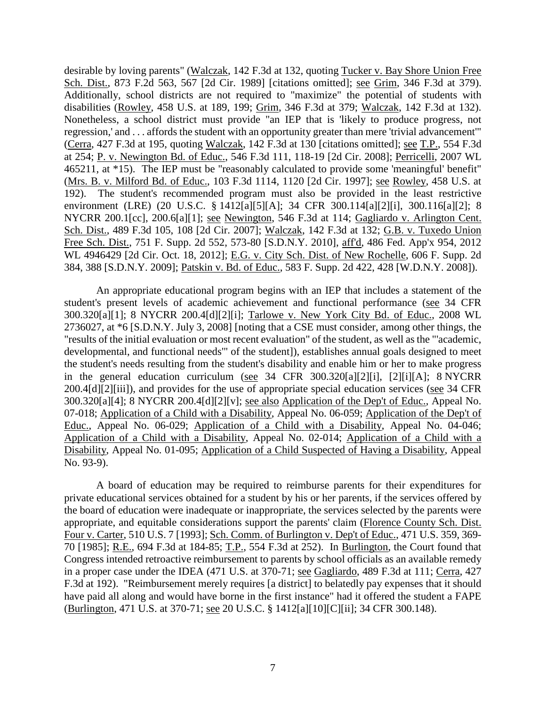desirable by loving parents" (Walczak, 142 F.3d at 132, quoting Tucker v. Bay Shore Union Free Sch. Dist., 873 F.2d 563, 567 [2d Cir. 1989] [citations omitted]; see Grim, 346 F.3d at 379). Additionally, school districts are not required to "maximize" the potential of students with disabilities (Rowley, 458 U.S. at 189, 199; Grim, 346 F.3d at 379; Walczak, 142 F.3d at 132). Nonetheless, a school district must provide "an IEP that is 'likely to produce progress, not regression,' and . . . affords the student with an opportunity greater than mere 'trivial advancement'" (Cerra, 427 F.3d at 195, quoting Walczak, 142 F.3d at 130 [citations omitted]; see T.P., 554 F.3d at 254; P. v. Newington Bd. of Educ., 546 F.3d 111, 118-19 [2d Cir. 2008]; Perricelli, 2007 WL 465211, at \*15). The IEP must be "reasonably calculated to provide some 'meaningful' benefit" (Mrs. B. v. Milford Bd. of Educ., 103 F.3d 1114, 1120 [2d Cir. 1997]; see Rowley, 458 U.S. at 192). The student's recommended program must also be provided in the least restrictive environment (LRE) (20 U.S.C. § 1412[a][5][A]; 34 CFR 300.114[a][2][i], 300.116[a][2]; 8 NYCRR 200.1[cc], 200.6[a][1]; see Newington, 546 F.3d at 114; Gagliardo v. Arlington Cent. Sch. Dist., 489 F.3d 105, 108 [2d Cir. 2007]; Walczak, 142 F.3d at 132; G.B. v. Tuxedo Union Free Sch. Dist., 751 F. Supp. 2d 552, 573-80 [S.D.N.Y. 2010], aff'd, 486 Fed. App'x 954, 2012 WL 4946429 [2d Cir. Oct. 18, 2012]; E.G. v. City Sch. Dist. of New Rochelle, 606 F. Supp. 2d 384, 388 [S.D.N.Y. 2009]; Patskin v. Bd. of Educ., 583 F. Supp. 2d 422, 428 [W.D.N.Y. 2008]).

An appropriate educational program begins with an IEP that includes a statement of the student's present levels of academic achievement and functional performance (see 34 CFR 300.320[a][1]; 8 NYCRR 200.4[d][2][i]; Tarlowe v. New York City Bd. of Educ., 2008 WL 2736027, at \*6 [S.D.N.Y. July 3, 2008] [noting that a CSE must consider, among other things, the "results of the initial evaluation or most recent evaluation" of the student, as well as the "'academic, developmental, and functional needs'" of the student]), establishes annual goals designed to meet the student's needs resulting from the student's disability and enable him or her to make progress in the general education curriculum (see 34 CFR 300.320[a][2][i], [2][i][A]; 8 NYCRR 200.4[d][2][iii]), and provides for the use of appropriate special education services (see 34 CFR 300.320[a][4]; 8 NYCRR 200.4[d][2][v]; see also Application of the Dep't of Educ., Appeal No. 07-018; Application of a Child with a Disability, Appeal No. 06-059; Application of the Dep't of Educ., Appeal No. 06-029; Application of a Child with a Disability, Appeal No. 04-046; Application of a Child with a Disability, Appeal No. 02-014; Application of a Child with a Disability, Appeal No. 01-095; Application of a Child Suspected of Having a Disability, Appeal No. 93-9).

A board of education may be required to reimburse parents for their expenditures for private educational services obtained for a student by his or her parents, if the services offered by the board of education were inadequate or inappropriate, the services selected by the parents were appropriate, and equitable considerations support the parents' claim (Florence County Sch. Dist. Four v. Carter, 510 U.S. 7 [1993]; Sch. Comm. of Burlington v. Dep't of Educ., 471 U.S. 359, 369- 70 [1985]; R.E., 694 F.3d at 184-85; T.P., 554 F.3d at 252). In Burlington, the Court found that Congress intended retroactive reimbursement to parents by school officials as an available remedy in a proper case under the IDEA (471 U.S. at 370-71; see Gagliardo, 489 F.3d at 111; Cerra, 427 F.3d at 192). "Reimbursement merely requires [a district] to belatedly pay expenses that it should have paid all along and would have borne in the first instance" had it offered the student a FAPE (Burlington, 471 U.S. at 370-71; see 20 U.S.C. § 1412[a][10][C][ii]; 34 CFR 300.148).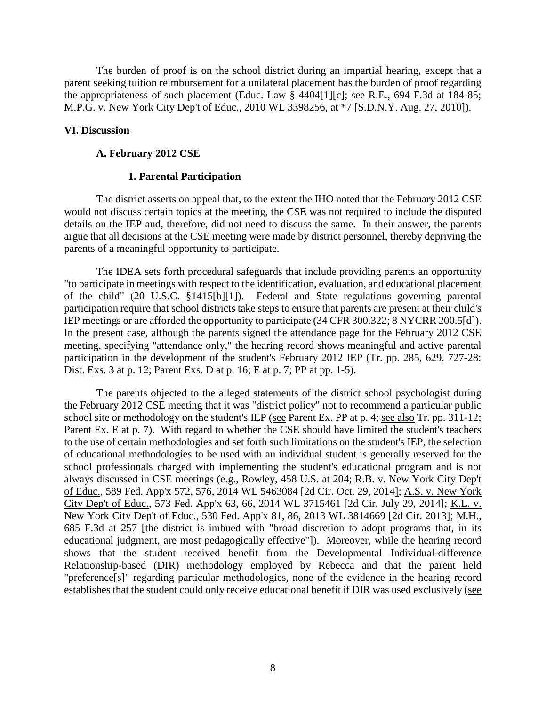The burden of proof is on the school district during an impartial hearing, except that a parent seeking tuition reimbursement for a unilateral placement has the burden of proof regarding the appropriateness of such placement (Educ. Law § 4404[1][c]; see R.E., 694 F.3d at 184-85; M.P.G. v. New York City Dep't of Educ., 2010 WL 3398256, at \*7 [S.D.N.Y. Aug. 27, 2010]).

#### **VI. Discussion**

#### **A. February 2012 CSE**

#### **1. Parental Participation**

The district asserts on appeal that, to the extent the IHO noted that the February 2012 CSE would not discuss certain topics at the meeting, the CSE was not required to include the disputed details on the IEP and, therefore, did not need to discuss the same. In their answer, the parents argue that all decisions at the CSE meeting were made by district personnel, thereby depriving the parents of a meaningful opportunity to participate.

The IDEA sets forth procedural safeguards that include providing parents an opportunity "to participate in meetings with respect to the identification, evaluation, and educational placement of the child" (20 U.S.C. §1415[b][1]). Federal and State regulations governing parental participation require that school districts take steps to ensure that parents are present at their child's IEP meetings or are afforded the opportunity to participate (34 CFR 300.322; 8 NYCRR 200.5[d]). In the present case, although the parents signed the attendance page for the February 2012 CSE meeting, specifying "attendance only," the hearing record shows meaningful and active parental participation in the development of the student's February 2012 IEP (Tr. pp. 285, 629, 727-28; Dist. Exs. 3 at p. 12; Parent Exs. D at p. 16; E at p. 7; PP at pp. 1-5).

The parents objected to the alleged statements of the district school psychologist during the February 2012 CSE meeting that it was "district policy" not to recommend a particular public school site or methodology on the student's IEP (see Parent Ex. PP at p. 4; see also Tr. pp. 311-12; Parent Ex. E at p. 7). With regard to whether the CSE should have limited the student's teachers to the use of certain methodologies and set forth such limitations on the student's IEP, the selection of educational methodologies to be used with an individual student is generally reserved for the school professionals charged with implementing the student's educational program and is not always discussed in CSE meetings (e.g., Rowley, 458 U.S. at 204; R.B. v. New York City Dep't of Educ., 589 Fed. App'x 572, 576, 2014 WL 5463084 [2d Cir. Oct. 29, 2014]; A.S. v. New York City Dep't of Educ., 573 Fed. App'x 63, 66, 2014 WL 3715461 [2d Cir. July 29, 2014]; K.L. v. New York City Dep't of Educ., 530 Fed. App'x 81, 86, 2013 WL 3814669 [2d Cir. 2013]; M.H., 685 F.3d at 257 [the district is imbued with "broad discretion to adopt programs that, in its educational judgment, are most pedagogically effective"]). Moreover, while the hearing record shows that the student received benefit from the Developmental Individual-difference Relationship-based (DIR) methodology employed by Rebecca and that the parent held "preference[s]" regarding particular methodologies, none of the evidence in the hearing record establishes that the student could only receive educational benefit if DIR was used exclusively (see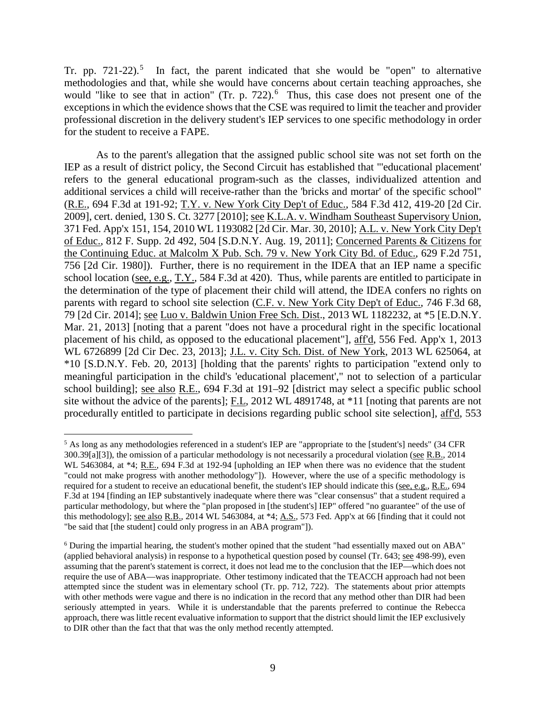Tr. pp.  $721-22$ ).<sup>5</sup> In fact, the parent indicated that she would be "open" to alternative methodologies and that, while she would have concerns about certain teaching approaches, she would "like to see that in action" (Tr. p. 722).<sup>6</sup> Thus, this case does not present one of the exceptions in which the evidence shows that the CSE was required to limit the teacher and provider professional discretion in the delivery student's IEP services to one specific methodology in order for the student to receive a FAPE.

As to the parent's allegation that the assigned public school site was not set forth on the IEP as a result of district policy, the Second Circuit has established that "'educational placement' refers to the general educational program-such as the classes, individualized attention and additional services a child will receive-rather than the 'bricks and mortar' of the specific school" (R.E., 694 F.3d at 191-92; T.Y. v. New York City Dep't of Educ., 584 F.3d 412, 419-20 [2d Cir. 2009], cert. denied, 130 S. Ct. 3277 [2010]; see K.L.A. v. Windham Southeast Supervisory Union, 371 Fed. App'x 151, 154, 2010 WL 1193082 [2d Cir. Mar. 30, 2010]; A.L. v. New York City Dep't of Educ., 812 F. Supp. 2d 492, 504 [S.D.N.Y. Aug. 19, 2011]; Concerned Parents & Citizens for the Continuing Educ. at Malcolm X Pub. Sch. 79 v. New York City Bd. of Educ., 629 F.2d 751, 756 [2d Cir. 1980]). Further, there is no requirement in the IDEA that an IEP name a specific school location (see, e.g.,  $T.Y.$ , 584 F.3d at 420). Thus, while parents are entitled to participate in the determination of the type of placement their child will attend, the IDEA confers no rights on parents with regard to school site selection (C.F. v. New York City Dep't of Educ., 746 F.3d 68, 79 [2d Cir. 2014]; see Luo v. Baldwin Union Free Sch. Dist., 2013 WL 1182232, at \*5 [E.D.N.Y. Mar. 21, 2013] [noting that a parent "does not have a procedural right in the specific locational placement of his child, as opposed to the educational placement"], aff'd, 556 Fed. App'x 1, 2013 WL 6726899 [2d Cir Dec. 23, 2013]; J.L. v. City Sch. Dist. of New York, 2013 WL 625064, at \*10 [S.D.N.Y. Feb. 20, 2013] [holding that the parents' rights to participation "extend only to meaningful participation in the child's 'educational placement'," not to selection of a particular school building]; see also R.E., 694 F.3d at 191–92 [district may select a specific public school site without the advice of the parents]; F.L, 2012 WL 4891748, at \*11 [noting that parents are not procedurally entitled to participate in decisions regarding public school site selection], aff'd, 553

 <sup>5</sup> As long as any methodologies referenced in a student's IEP are "appropriate to the [student's] needs" (34 CFR 300.39[a][3]), the omission of a particular methodology is not necessarily a procedural violation (see R.B., 2014 WL 5463084, at \*4; R.E., 694 F.3d at 192-94 [upholding an IEP when there was no evidence that the student "could not make progress with another methodology"]). However, where the use of a specific methodology is required for a student to receive an educational benefit, the student's IEP should indicate this (see, e.g., R.E., 694 F.3d at 194 [finding an IEP substantively inadequate where there was "clear consensus" that a student required a particular methodology, but where the "plan proposed in [the student's] IEP" offered "no guarantee" of the use of this methodology]; see also R.B., 2014 WL 5463084, at \*4; A.S., 573 Fed. App'x at 66 [finding that it could not "be said that [the student] could only progress in an ABA program"]).

<sup>6</sup> During the impartial hearing, the student's mother opined that the student "had essentially maxed out on ABA" (applied behavioral analysis) in response to a hypothetical question posed by counsel (Tr.  $643$ ; see 498-99), even assuming that the parent's statement is correct, it does not lead me to the conclusion that the IEP—which does not require the use of ABA—was inappropriate. Other testimony indicated that the TEACCH approach had not been attempted since the student was in elementary school (Tr. pp. 712, 722). The statements about prior attempts with other methods were vague and there is no indication in the record that any method other than DIR had been seriously attempted in years. While it is understandable that the parents preferred to continue the Rebecca approach, there was little recent evaluative information to support that the district should limit the IEP exclusively to DIR other than the fact that that was the only method recently attempted.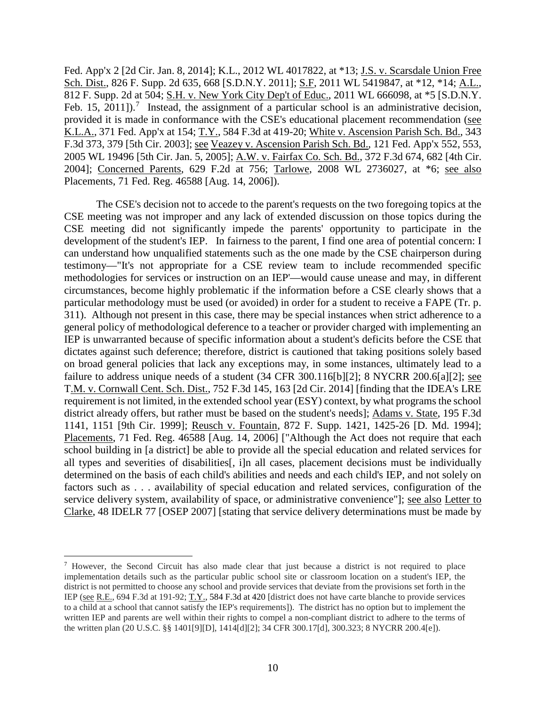Fed. App'x 2 [2d Cir. Jan. 8, 2014]; K.L., 2012 WL 4017822, at \*13; J.S. v. Scarsdale Union Free Sch. Dist., 826 F. Supp. 2d 635, 668 [S.D.N.Y. 2011]; S.F., 2011 WL 5419847, at \*12, \*14; A.L., 812 F. Supp. 2d at 504; S.H. v. New York City Dep't of Educ., 2011 WL 666098, at \*5 [S.D.N.Y. Feb. 15, 2011]).<sup>7</sup> Instead, the assignment of a particular school is an administrative decision, provided it is made in conformance with the CSE's educational placement recommendation (see K.L.A., 371 Fed. App'x at 154; T.Y., 584 F.3d at 419-20; White v. Ascension Parish Sch. Bd., 343 F.3d 373, 379 [5th Cir. 2003]; see Veazey v. Ascension Parish Sch. Bd., 121 Fed. App'x 552, 553, 2005 WL 19496 [5th Cir. Jan. 5, 2005]; A.W. v. Fairfax Co. Sch. Bd., 372 F.3d 674, 682 [4th Cir. 2004]; Concerned Parents, 629 F.2d at 756; Tarlowe, 2008 WL 2736027, at \*6; see also Placements, 71 Fed. Reg. 46588 [Aug. 14, 2006]).

The CSE's decision not to accede to the parent's requests on the two foregoing topics at the CSE meeting was not improper and any lack of extended discussion on those topics during the CSE meeting did not significantly impede the parents' opportunity to participate in the development of the student's IEP. In fairness to the parent, I find one area of potential concern: I can understand how unqualified statements such as the one made by the CSE chairperson during testimony—"It's not appropriate for a CSE review team to include recommended specific methodologies for services or instruction on an IEP'—would cause unease and may, in different circumstances, become highly problematic if the information before a CSE clearly shows that a particular methodology must be used (or avoided) in order for a student to receive a FAPE (Tr. p. 311). Although not present in this case, there may be special instances when strict adherence to a general policy of methodological deference to a teacher or provider charged with implementing an IEP is unwarranted because of specific information about a student's deficits before the CSE that dictates against such deference; therefore, district is cautioned that taking positions solely based on broad general policies that lack any exceptions may, in some instances, ultimately lead to a failure to address unique needs of a student (34 CFR 300.116[b][2]; 8 NYCRR 200.6[a][2]; see T.M. v. Cornwall Cent. Sch. Dist., 752 F.3d 145, 163 [2d Cir. 2014] [finding that the IDEA's LRE requirement is not limited, in the extended school year (ESY) context, by what programs the school district already offers, but rather must be based on the student's needs]; Adams v. State, 195 F.3d 1141, 1151 [9th Cir. 1999]; Reusch v. Fountain, 872 F. Supp. 1421, 1425-26 [D. Md. 1994]; Placements, 71 Fed. Reg. 46588 [Aug. 14, 2006] ["Although the Act does not require that each school building in [a district] be able to provide all the special education and related services for all types and severities of disabilities[, i]n all cases, placement decisions must be individually determined on the basis of each child's abilities and needs and each child's IEP, and not solely on factors such as . . . availability of special education and related services, configuration of the service delivery system, availability of space, or administrative convenience"]; see also Letter to Clarke, 48 IDELR 77 [OSEP 2007] [stating that service delivery determinations must be made by

 <sup>7</sup> However, the Second Circuit has also made clear that just because a district is not required to place implementation details such as the particular public school site or classroom location on a student's IEP, the district is not permitted to choose any school and provide services that deviate from the provisions set forth in the IEP (see R.E., 694 F.3d at 191-92; T.Y., 584 F.3d at 420 [district does not have carte blanche to provide services to a child at a school that cannot satisfy the IEP's requirements]). The district has no option but to implement the written IEP and parents are well within their rights to compel a non-compliant district to adhere to the terms of the written plan (20 U.S.C. §§ 1401[9][D], 1414[d][2]; 34 CFR 300.17[d], 300.323; 8 NYCRR 200.4[e]).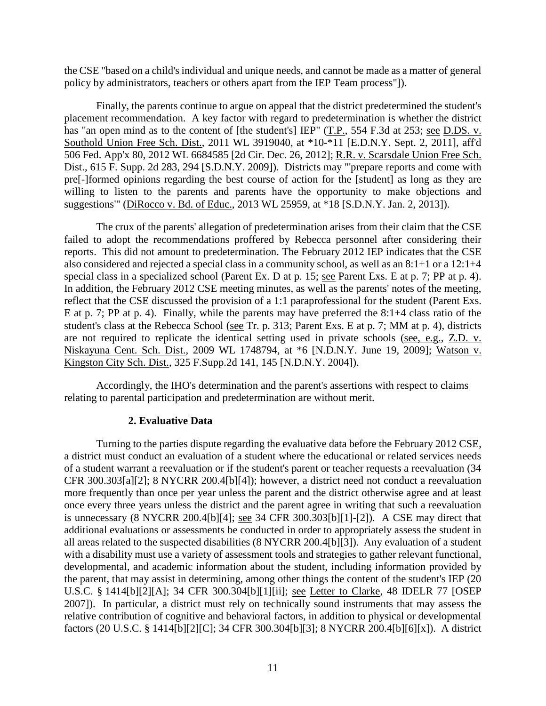the CSE "based on a child's individual and unique needs, and cannot be made as a matter of general policy by administrators, teachers or others apart from the IEP Team process"]).

Finally, the parents continue to argue on appeal that the district predetermined the student's placement recommendation. A key factor with regard to predetermination is whether the district has "an open mind as to the content of [the student's] IEP" (T.P., 554 F.3d at 253; see D.DS. v. Southold Union Free Sch. Dist., 2011 WL 3919040, at \*10-\*11 [E.D.N.Y. Sept. 2, 2011], aff'd 506 Fed. App'x 80, 2012 WL 6684585 [2d Cir. Dec. 26, 2012]; R.R. v. Scarsdale Union Free Sch. Dist., 615 F. Supp. 2d 283, 294 [S.D.N.Y. 2009]). Districts may "'prepare reports and come with pre[-]formed opinions regarding the best course of action for the [student] as long as they are willing to listen to the parents and parents have the opportunity to make objections and suggestions'" (DiRocco v. Bd. of Educ., 2013 WL 25959, at \*18 [S.D.N.Y. Jan. 2, 2013]).

The crux of the parents' allegation of predetermination arises from their claim that the CSE failed to adopt the recommendations proffered by Rebecca personnel after considering their reports. This did not amount to predetermination. The February 2012 IEP indicates that the CSE also considered and rejected a special class in a community school, as well as an 8:1+1 or a 12:1+4 special class in a specialized school (Parent Ex. D at p. 15; see Parent Exs. E at p. 7; PP at p. 4). In addition, the February 2012 CSE meeting minutes, as well as the parents' notes of the meeting, reflect that the CSE discussed the provision of a 1:1 paraprofessional for the student (Parent Exs. E at p. 7; PP at p. 4). Finally, while the parents may have preferred the 8:1+4 class ratio of the student's class at the Rebecca School (see Tr. p. 313; Parent Exs. E at p. 7; MM at p. 4), districts are not required to replicate the identical setting used in private schools (see, e.g., Z.D. v. Niskayuna Cent. Sch. Dist., 2009 WL 1748794, at \*6 [N.D.N.Y. June 19, 2009]; Watson v. Kingston City Sch. Dist., 325 F.Supp.2d 141, 145 [N.D.N.Y. 2004]).

Accordingly, the IHO's determination and the parent's assertions with respect to claims relating to parental participation and predetermination are without merit.

#### **2. Evaluative Data**

Turning to the parties dispute regarding the evaluative data before the February 2012 CSE, a district must conduct an evaluation of a student where the educational or related services needs of a student warrant a reevaluation or if the student's parent or teacher requests a reevaluation (34 CFR 300.303[a][2]; 8 NYCRR 200.4[b][4]); however, a district need not conduct a reevaluation more frequently than once per year unless the parent and the district otherwise agree and at least once every three years unless the district and the parent agree in writing that such a reevaluation is unnecessary (8 NYCRR 200.4[b][4]; see 34 CFR 300.303[b][1]-[2]). A CSE may direct that additional evaluations or assessments be conducted in order to appropriately assess the student in all areas related to the suspected disabilities (8 NYCRR 200.4[b][3]). Any evaluation of a student with a disability must use a variety of assessment tools and strategies to gather relevant functional, developmental, and academic information about the student, including information provided by the parent, that may assist in determining, among other things the content of the student's IEP (20 U.S.C. § 1414[b][2][A]; 34 CFR 300.304[b][1][ii]; see Letter to Clarke, 48 IDELR 77 [OSEP 2007]). In particular, a district must rely on technically sound instruments that may assess the relative contribution of cognitive and behavioral factors, in addition to physical or developmental factors (20 U.S.C. § 1414[b][2][C]; 34 CFR 300.304[b][3]; 8 NYCRR 200.4[b][6][x]). A district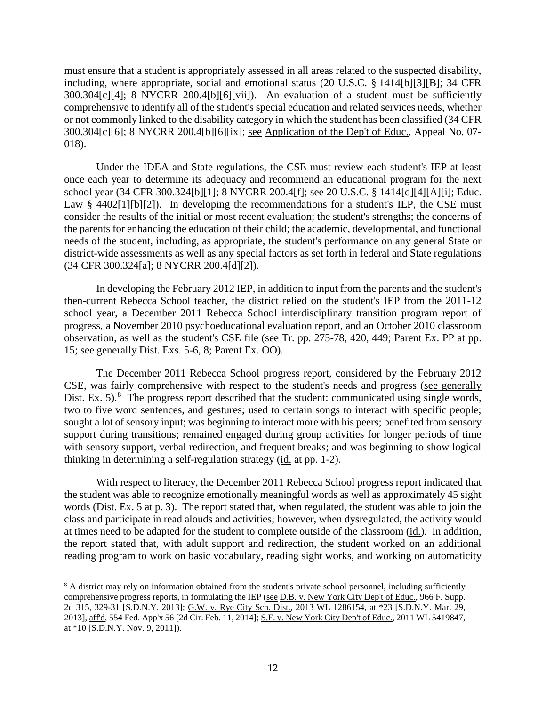must ensure that a student is appropriately assessed in all areas related to the suspected disability, including, where appropriate, social and emotional status (20 U.S.C. § 1414[b][3][B]; 34 CFR 300.304[c][4]; 8 NYCRR 200.4[b][6][vii]). An evaluation of a student must be sufficiently comprehensive to identify all of the student's special education and related services needs, whether or not commonly linked to the disability category in which the student has been classified (34 CFR 300.304[c][6]; 8 NYCRR 200.4[b][6][ix]; see Application of the Dep't of Educ., Appeal No. 07- 018).

Under the IDEA and State regulations, the CSE must review each student's IEP at least once each year to determine its adequacy and recommend an educational program for the next school year (34 CFR 300.324[b][1]; 8 NYCRR 200.4[f]; see 20 U.S.C. § 1414[d][4][A][i]; Educ. Law  $§$  4402[1][b][2]). In developing the recommendations for a student's IEP, the CSE must consider the results of the initial or most recent evaluation; the student's strengths; the concerns of the parents for enhancing the education of their child; the academic, developmental, and functional needs of the student, including, as appropriate, the student's performance on any general State or district-wide assessments as well as any special factors as set forth in federal and State regulations (34 CFR 300.324[a]; 8 NYCRR 200.4[d][2]).

In developing the February 2012 IEP, in addition to input from the parents and the student's then-current Rebecca School teacher, the district relied on the student's IEP from the 2011-12 school year, a December 2011 Rebecca School interdisciplinary transition program report of progress, a November 2010 psychoeducational evaluation report, and an October 2010 classroom observation, as well as the student's CSE file (see Tr. pp. 275-78, 420, 449; Parent Ex. PP at pp. 15; see generally Dist. Exs. 5-6, 8; Parent Ex. OO).

The December 2011 Rebecca School progress report, considered by the February 2012 CSE, was fairly comprehensive with respect to the student's needs and progress (see generally Dist. Ex. 5).<sup>8</sup> The progress report described that the student: communicated using single words, two to five word sentences, and gestures; used to certain songs to interact with specific people; sought a lot of sensory input; was beginning to interact more with his peers; benefited from sensory support during transitions; remained engaged during group activities for longer periods of time with sensory support, verbal redirection, and frequent breaks; and was beginning to show logical thinking in determining a self-regulation strategy (id. at pp. 1-2).

With respect to literacy, the December 2011 Rebecca School progress report indicated that the student was able to recognize emotionally meaningful words as well as approximately 45 sight words (Dist. Ex. 5 at p. 3). The report stated that, when regulated, the student was able to join the class and participate in read alouds and activities; however, when dysregulated, the activity would at times need to be adapted for the student to complete outside of the classroom (id.). In addition, the report stated that, with adult support and redirection, the student worked on an additional reading program to work on basic vocabulary, reading sight works, and working on automaticity

<sup>&</sup>lt;sup>8</sup> A district may rely on information obtained from the student's private school personnel, including sufficiently comprehensive progress reports, in formulating the IEP (see D.B. v. New York City Dep't of Educ., 966 F. Supp. 2d 315, 329-31 [S.D.N.Y. 2013]; G.W. v. Rye City Sch. Dist., 2013 WL 1286154, at \*23 [S.D.N.Y. Mar. 29, 2013], aff'd, 554 Fed. App'x 56 [2d Cir. Feb. 11, 2014]; S.F. v. New York City Dep't of Educ., 2011 WL 5419847, at \*10 [S.D.N.Y. Nov. 9, 2011]).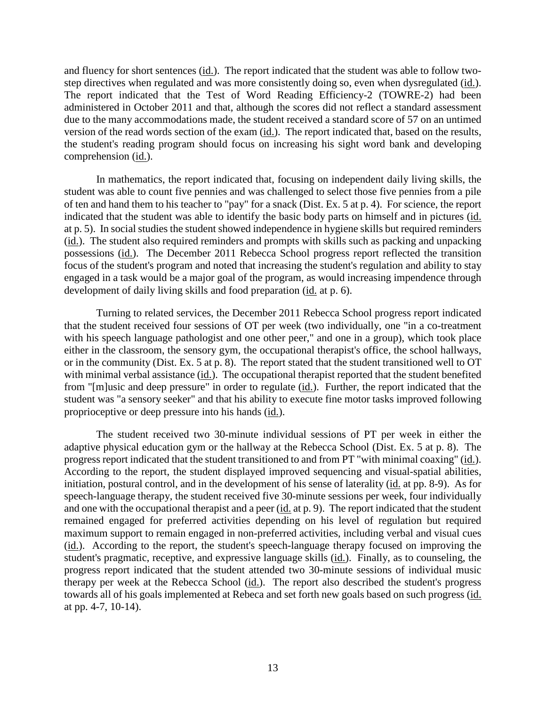and fluency for short sentences (id.). The report indicated that the student was able to follow twostep directives when regulated and was more consistently doing so, even when dysregulated (id.). The report indicated that the Test of Word Reading Efficiency-2 (TOWRE-2) had been administered in October 2011 and that, although the scores did not reflect a standard assessment due to the many accommodations made, the student received a standard score of 57 on an untimed version of the read words section of the exam (id.). The report indicated that, based on the results, the student's reading program should focus on increasing his sight word bank and developing comprehension (id.).

In mathematics, the report indicated that, focusing on independent daily living skills, the student was able to count five pennies and was challenged to select those five pennies from a pile of ten and hand them to his teacher to "pay" for a snack (Dist. Ex. 5 at p. 4). For science, the report indicated that the student was able to identify the basic body parts on himself and in pictures (id. at p. 5). In social studies the student showed independence in hygiene skills but required reminders (id.). The student also required reminders and prompts with skills such as packing and unpacking possessions (id.). The December 2011 Rebecca School progress report reflected the transition focus of the student's program and noted that increasing the student's regulation and ability to stay engaged in a task would be a major goal of the program, as would increasing impendence through development of daily living skills and food preparation (id. at p. 6).

Turning to related services, the December 2011 Rebecca School progress report indicated that the student received four sessions of OT per week (two individually, one "in a co-treatment with his speech language pathologist and one other peer," and one in a group), which took place either in the classroom, the sensory gym, the occupational therapist's office, the school hallways, or in the community (Dist. Ex. 5 at p. 8). The report stated that the student transitioned well to OT with minimal verbal assistance (id.). The occupational therapist reported that the student benefited from "[m]usic and deep pressure" in order to regulate (id.). Further, the report indicated that the student was "a sensory seeker" and that his ability to execute fine motor tasks improved following proprioceptive or deep pressure into his hands (id.).

The student received two 30-minute individual sessions of PT per week in either the adaptive physical education gym or the hallway at the Rebecca School (Dist. Ex. 5 at p. 8). The progress report indicated that the student transitioned to and from PT "with minimal coaxing" (id.). According to the report, the student displayed improved sequencing and visual-spatial abilities, initiation, postural control, and in the development of his sense of laterality (id. at pp. 8-9). As for speech-language therapy, the student received five 30-minute sessions per week, four individually and one with the occupational therapist and a peer  $(id$  at p. 9). The report indicated that the student remained engaged for preferred activities depending on his level of regulation but required maximum support to remain engaged in non-preferred activities, including verbal and visual cues (id.). According to the report, the student's speech-language therapy focused on improving the student's pragmatic, receptive, and expressive language skills (id.). Finally, as to counseling, the progress report indicated that the student attended two 30-minute sessions of individual music therapy per week at the Rebecca School (id.). The report also described the student's progress towards all of his goals implemented at Rebeca and set forth new goals based on such progress (id. at pp. 4-7, 10-14).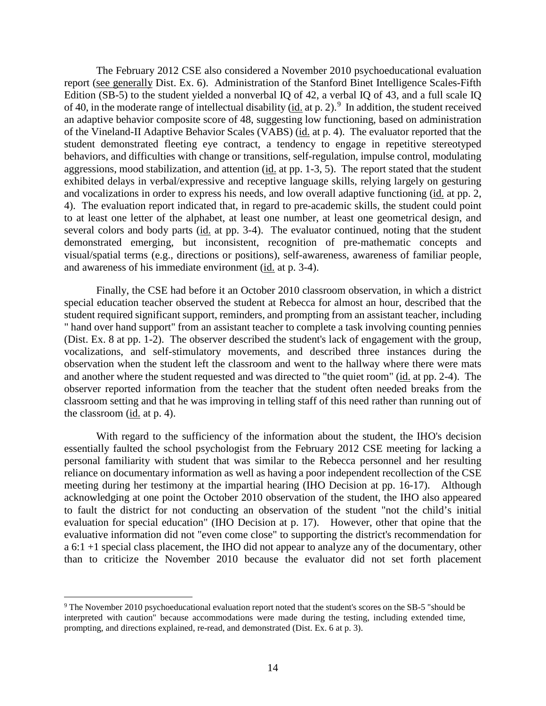The February 2012 CSE also considered a November 2010 psychoeducational evaluation report (see generally Dist. Ex. 6). Administration of the Stanford Binet Intelligence Scales-Fifth Edition (SB-5) to the student yielded a nonverbal IQ of 42, a verbal IQ of 43, and a full scale IQ of 40, in the moderate range of intellectual disability ( $\underline{\text{id}}$  at p. 2).<sup>9</sup> In addition, the student received an adaptive behavior composite score of 48, suggesting low functioning, based on administration of the Vineland-II Adaptive Behavior Scales (VABS) (id. at p. 4). The evaluator reported that the student demonstrated fleeting eye contract, a tendency to engage in repetitive stereotyped behaviors, and difficulties with change or transitions, self-regulation, impulse control, modulating aggressions, mood stabilization, and attention (id. at pp. 1-3, 5). The report stated that the student exhibited delays in verbal/expressive and receptive language skills, relying largely on gesturing and vocalizations in order to express his needs, and low overall adaptive functioning (id. at pp. 2, 4). The evaluation report indicated that, in regard to pre-academic skills, the student could point to at least one letter of the alphabet, at least one number, at least one geometrical design, and several colors and body parts (id. at pp. 3-4). The evaluator continued, noting that the student demonstrated emerging, but inconsistent, recognition of pre-mathematic concepts and visual/spatial terms (e.g., directions or positions), self-awareness, awareness of familiar people, and awareness of his immediate environment (id. at p. 3-4).

Finally, the CSE had before it an October 2010 classroom observation, in which a district special education teacher observed the student at Rebecca for almost an hour, described that the student required significant support, reminders, and prompting from an assistant teacher, including " hand over hand support" from an assistant teacher to complete a task involving counting pennies (Dist. Ex. 8 at pp. 1-2). The observer described the student's lack of engagement with the group, vocalizations, and self-stimulatory movements, and described three instances during the observation when the student left the classroom and went to the hallway where there were mats and another where the student requested and was directed to "the quiet room" (id. at pp. 2-4). The observer reported information from the teacher that the student often needed breaks from the classroom setting and that he was improving in telling staff of this need rather than running out of the classroom (id. at p. 4).

With regard to the sufficiency of the information about the student, the IHO's decision essentially faulted the school psychologist from the February 2012 CSE meeting for lacking a personal familiarity with student that was similar to the Rebecca personnel and her resulting reliance on documentary information as well as having a poor independent recollection of the CSE meeting during her testimony at the impartial hearing (IHO Decision at pp. 16-17). Although acknowledging at one point the October 2010 observation of the student, the IHO also appeared to fault the district for not conducting an observation of the student "not the child's initial evaluation for special education" (IHO Decision at p. 17). However, other that opine that the evaluative information did not "even come close" to supporting the district's recommendation for a 6:1 +1 special class placement, the IHO did not appear to analyze any of the documentary, other than to criticize the November 2010 because the evaluator did not set forth placement

 <sup>9</sup> The November 2010 psychoeducational evaluation report noted that the student's scores on the SB-5 "should be interpreted with caution" because accommodations were made during the testing, including extended time, prompting, and directions explained, re-read, and demonstrated (Dist. Ex. 6 at p. 3).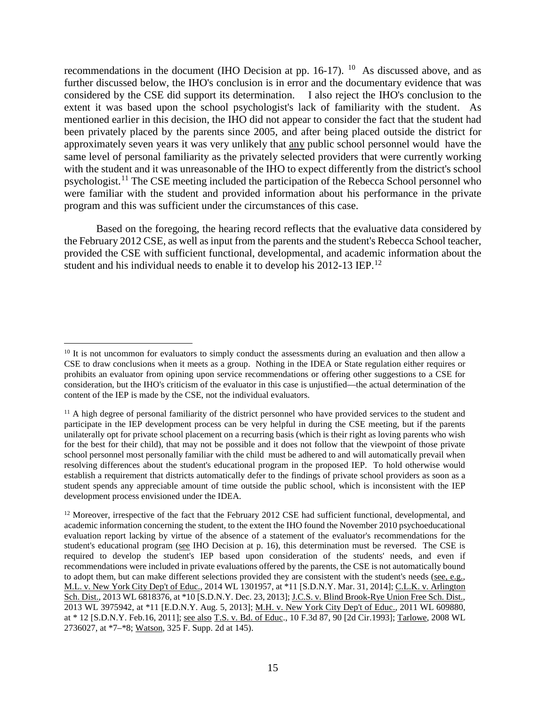recommendations in the document (IHO Decision at pp.  $16-17$ ). <sup>10</sup> As discussed above, and as further discussed below, the IHO's conclusion is in error and the documentary evidence that was considered by the CSE did support its determination. I also reject the IHO's conclusion to the extent it was based upon the school psychologist's lack of familiarity with the student. As mentioned earlier in this decision, the IHO did not appear to consider the fact that the student had been privately placed by the parents since 2005, and after being placed outside the district for approximately seven years it was very unlikely that any public school personnel would have the same level of personal familiarity as the privately selected providers that were currently working with the student and it was unreasonable of the IHO to expect differently from the district's school psychologist.<sup>11</sup> The CSE meeting included the participation of the Rebecca School personnel who were familiar with the student and provided information about his performance in the private program and this was sufficient under the circumstances of this case.

Based on the foregoing, the hearing record reflects that the evaluative data considered by the February 2012 CSE, as well as input from the parents and the student's Rebecca School teacher, provided the CSE with sufficient functional, developmental, and academic information about the student and his individual needs to enable it to develop his 2012-13 IEP.<sup>12</sup>

<sup>&</sup>lt;sup>10</sup> It is not uncommon for evaluators to simply conduct the assessments during an evaluation and then allow a CSE to draw conclusions when it meets as a group. Nothing in the IDEA or State regulation either requires or prohibits an evaluator from opining upon service recommendations or offering other suggestions to a CSE for consideration, but the IHO's criticism of the evaluator in this case is unjustified—the actual determination of the content of the IEP is made by the CSE, not the individual evaluators.

<sup>&</sup>lt;sup>11</sup> A high degree of personal familiarity of the district personnel who have provided services to the student and participate in the IEP development process can be very helpful in during the CSE meeting, but if the parents unilaterally opt for private school placement on a recurring basis (which is their right as loving parents who wish for the best for their child), that may not be possible and it does not follow that the viewpoint of those private school personnel most personally familiar with the child must be adhered to and will automatically prevail when resolving differences about the student's educational program in the proposed IEP. To hold otherwise would establish a requirement that districts automatically defer to the findings of private school providers as soon as a student spends any appreciable amount of time outside the public school, which is inconsistent with the IEP development process envisioned under the IDEA.

<sup>&</sup>lt;sup>12</sup> Moreover, irrespective of the fact that the February 2012 CSE had sufficient functional, developmental, and academic information concerning the student, to the extent the IHO found the November 2010 psychoeducational evaluation report lacking by virtue of the absence of a statement of the evaluator's recommendations for the student's educational program (see IHO Decision at p. 16), this determination must be reversed. The CSE is required to develop the student's IEP based upon consideration of the students' needs, and even if recommendations were included in private evaluations offered by the parents, the CSE is not automatically bound to adopt them, but can make different selections provided they are consistent with the student's needs (see, e.g., M.L. v. New York City Dep't of Educ., 2014 WL 1301957, at \*11 [S.D.N.Y. Mar. 31, 2014]; C.L.K. v. Arlington Sch. Dist., 2013 WL 6818376, at \*10 [S.D.N.Y. Dec. 23, 2013]; J.C.S. v. Blind Brook-Rye Union Free Sch. Dist., 2013 WL 3975942, at \*11 [E.D.N.Y. Aug. 5, 2013]; M.H. v. New York City Dep't of Educ., 2011 WL 609880, at \* 12 [S.D.N.Y. Feb.16, 2011]; see also T.S. v. Bd. of Educ., 10 F.3d 87, 90 [2d Cir.1993]; Tarlowe, 2008 WL 2736027, at \*7–\*8; Watson, 325 F. Supp. 2d at 145).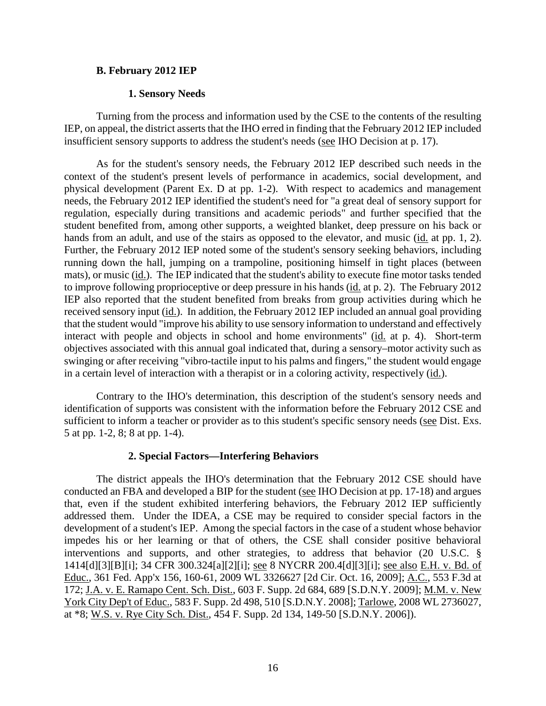#### **B. February 2012 IEP**

#### **1. Sensory Needs**

Turning from the process and information used by the CSE to the contents of the resulting IEP, on appeal, the district asserts that the IHO erred in finding that the February 2012 IEP included insufficient sensory supports to address the student's needs (see IHO Decision at p. 17).

As for the student's sensory needs, the February 2012 IEP described such needs in the context of the student's present levels of performance in academics, social development, and physical development (Parent Ex. D at pp. 1-2). With respect to academics and management needs, the February 2012 IEP identified the student's need for "a great deal of sensory support for regulation, especially during transitions and academic periods" and further specified that the student benefited from, among other supports, a weighted blanket, deep pressure on his back or hands from an adult, and use of the stairs as opposed to the elevator, and music (id. at pp. 1, 2). Further, the February 2012 IEP noted some of the student's sensory seeking behaviors, including running down the hall, jumping on a trampoline, positioning himself in tight places (between mats), or music (id.). The IEP indicated that the student's ability to execute fine motor tasks tended to improve following proprioceptive or deep pressure in his hands (id. at p. 2). The February 2012 IEP also reported that the student benefited from breaks from group activities during which he received sensory input (id.). In addition, the February 2012 IEP included an annual goal providing that the student would "improve his ability to use sensory information to understand and effectively interact with people and objects in school and home environments" (id. at p. 4). Short-term objectives associated with this annual goal indicated that, during a sensory–motor activity such as swinging or after receiving "vibro-tactile input to his palms and fingers," the student would engage in a certain level of interaction with a therapist or in a coloring activity, respectively (id.).

Contrary to the IHO's determination, this description of the student's sensory needs and identification of supports was consistent with the information before the February 2012 CSE and sufficient to inform a teacher or provider as to this student's specific sensory needs (see Dist. Exs. 5 at pp. 1-2, 8; 8 at pp. 1-4).

## **2. Special Factors—Interfering Behaviors**

The district appeals the IHO's determination that the February 2012 CSE should have conducted an FBA and developed a BIP for the student (see IHO Decision at pp. 17-18) and argues that, even if the student exhibited interfering behaviors, the February 2012 IEP sufficiently addressed them. Under the IDEA, a CSE may be required to consider special factors in the development of a student's IEP. Among the special factors in the case of a student whose behavior impedes his or her learning or that of others, the CSE shall consider positive behavioral interventions and supports, and other strategies, to address that behavior (20 U.S.C. § 1414[d][3][B][i]; 34 CFR 300.324[a][2][i]; see 8 NYCRR 200.4[d][3][i]; see also E.H. v. Bd. of Educ., 361 Fed. App'x 156, 160-61, 2009 WL 3326627 [2d Cir. Oct. 16, 2009]; A.C., 553 F.3d at 172; J.A. v. E. Ramapo Cent. Sch. Dist., 603 F. Supp. 2d 684, 689 [S.D.N.Y. 2009]; M.M. v. New York City Dep't of Educ., 583 F. Supp. 2d 498, 510 [S.D.N.Y. 2008]; Tarlowe, 2008 WL 2736027, at \*8; W.S. v. Rye City Sch. Dist., 454 F. Supp. 2d 134, 149-50 [S.D.N.Y. 2006]).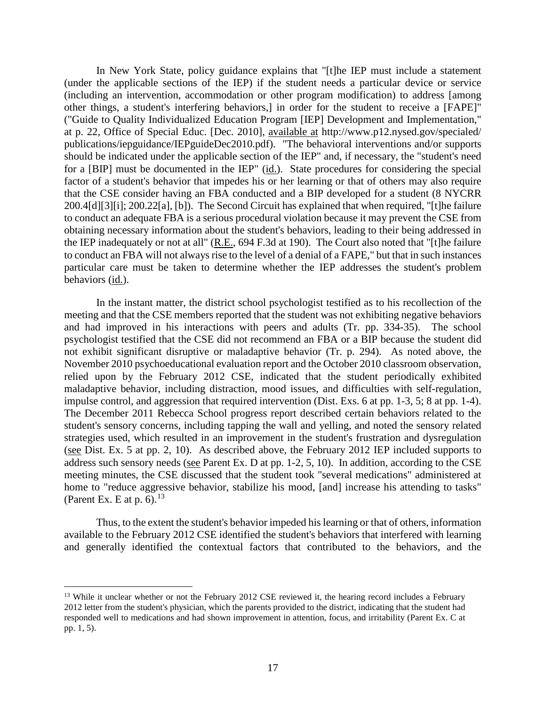In New York State, policy guidance explains that "[t]he IEP must include a statement (under the applicable sections of the IEP) if the student needs a particular device or service (including an intervention, accommodation or other program modification) to address [among other things, a student's interfering behaviors,] in order for the student to receive a [FAPE]" ("Guide to Quality Individualized Education Program [IEP] Development and Implementation," at p. 22, Office of Special Educ. [Dec. 2010], available at http://www.p12.nysed.gov/specialed/ publications/iepguidance/IEPguideDec2010.pdf). "The behavioral interventions and/or supports should be indicated under the applicable section of the IEP" and, if necessary, the "student's need for a [BIP] must be documented in the IEP" (id.). State procedures for considering the special factor of a student's behavior that impedes his or her learning or that of others may also require that the CSE consider having an FBA conducted and a BIP developed for a student (8 NYCRR 200.4[d][3][i]; 200.22[a], [b]). The Second Circuit has explained that when required, "[t]he failure to conduct an adequate FBA is a serious procedural violation because it may prevent the CSE from obtaining necessary information about the student's behaviors, leading to their being addressed in the IEP inadequately or not at all" (R.E., 694 F.3d at 190). The Court also noted that "[t]he failure to conduct an FBA will not always rise to the level of a denial of a FAPE," but that in such instances particular care must be taken to determine whether the IEP addresses the student's problem behaviors (id.).

In the instant matter, the district school psychologist testified as to his recollection of the meeting and that the CSE members reported that the student was not exhibiting negative behaviors and had improved in his interactions with peers and adults (Tr. pp. 334-35). The school psychologist testified that the CSE did not recommend an FBA or a BIP because the student did not exhibit significant disruptive or maladaptive behavior (Tr. p. 294). As noted above, the November 2010 psychoeducational evaluation report and the October 2010 classroom observation, relied upon by the February 2012 CSE, indicated that the student periodically exhibited maladaptive behavior, including distraction, mood issues, and difficulties with self-regulation, impulse control, and aggression that required intervention (Dist. Exs. 6 at pp. 1-3, 5; 8 at pp. 1-4). The December 2011 Rebecca School progress report described certain behaviors related to the student's sensory concerns, including tapping the wall and yelling, and noted the sensory related strategies used, which resulted in an improvement in the student's frustration and dysregulation (see Dist. Ex. 5 at pp. 2, 10). As described above, the February 2012 IEP included supports to address such sensory needs (see Parent Ex. D at pp. 1-2, 5, 10). In addition, according to the CSE meeting minutes, the CSE discussed that the student took "several medications" administered at home to "reduce aggressive behavior, stabilize his mood, [and] increase his attending to tasks" (Parent Ex. E at p.  $6$ ).<sup>13</sup>

Thus, to the extent the student's behavior impeded his learning or that of others, information available to the February 2012 CSE identified the student's behaviors that interfered with learning and generally identified the contextual factors that contributed to the behaviors, and the

<sup>&</sup>lt;sup>13</sup> While it unclear whether or not the February 2012 CSE reviewed it, the hearing record includes a February 2012 letter from the student's physician, which the parents provided to the district, indicating that the student had responded well to medications and had shown improvement in attention, focus, and irritability (Parent Ex. C at pp. 1, 5).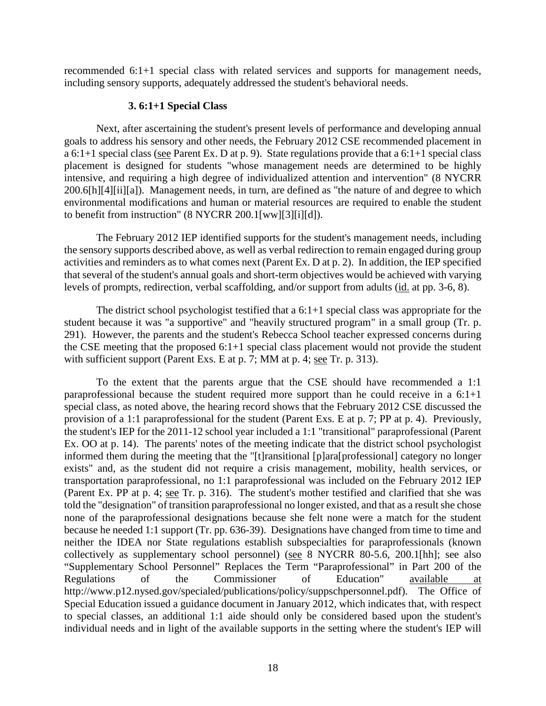recommended 6:1+1 special class with related services and supports for management needs, including sensory supports, adequately addressed the student's behavioral needs.

#### **3. 6:1+1 Special Class**

Next, after ascertaining the student's present levels of performance and developing annual goals to address his sensory and other needs, the February 2012 CSE recommended placement in a 6:1+1 special class (see Parent Ex. D at p. 9). State regulations provide that a 6:1+1 special class placement is designed for students "whose management needs are determined to be highly intensive, and requiring a high degree of individualized attention and intervention" (8 NYCRR 200.6[h][4][ii][a]). Management needs, in turn, are defined as "the nature of and degree to which environmental modifications and human or material resources are required to enable the student to benefit from instruction" (8 NYCRR 200.1[ww][3][i][d]).

The February 2012 IEP identified supports for the student's management needs, including the sensory supports described above, as well as verbal redirection to remain engaged during group activities and reminders as to what comes next (Parent Ex. D at p. 2). In addition, the IEP specified that several of the student's annual goals and short-term objectives would be achieved with varying levels of prompts, redirection, verbal scaffolding, and/or support from adults (id. at pp. 3-6, 8).

The district school psychologist testified that a 6:1+1 special class was appropriate for the student because it was "a supportive" and "heavily structured program" in a small group (Tr. p. 291). However, the parents and the student's Rebecca School teacher expressed concerns during the CSE meeting that the proposed 6:1+1 special class placement would not provide the student with sufficient support (Parent Exs. E at p. 7; MM at p. 4; see Tr. p. 313).

To the extent that the parents argue that the CSE should have recommended a 1:1 paraprofessional because the student required more support than he could receive in a 6:1+1 special class, as noted above, the hearing record shows that the February 2012 CSE discussed the provision of a 1:1 paraprofessional for the student (Parent Exs. E at p. 7; PP at p. 4). Previously, the student's IEP for the 2011-12 school year included a 1:1 "transitional" paraprofessional (Parent Ex. OO at p. 14). The parents' notes of the meeting indicate that the district school psychologist informed them during the meeting that the "[t]ransitional [p]ara[professional] category no longer exists" and, as the student did not require a crisis management, mobility, health services, or transportation paraprofessional, no 1:1 paraprofessional was included on the February 2012 IEP (Parent Ex. PP at p. 4; see Tr. p. 316). The student's mother testified and clarified that she was told the "designation" of transition paraprofessional no longer existed, and that as a result she chose none of the paraprofessional designations because she felt none were a match for the student because he needed 1:1 support (Tr. pp. 636-39). Designations have changed from time to time and neither the IDEA nor State regulations establish subspecialties for paraprofessionals (known collectively as supplementary school personnel) (see 8 NYCRR 80-5.6, 200.1[hh]; see also "Supplementary School Personnel" Replaces the Term "Paraprofessional" in Part 200 of the Regulations of the Commissioner of Education" available at http://www.p12.nysed.gov/specialed/publications/policy/suppschpersonnel.pdf). The Office of Special Education issued a guidance document in January 2012, which indicates that, with respect to special classes, an additional 1:1 aide should only be considered based upon the student's individual needs and in light of the available supports in the setting where the student's IEP will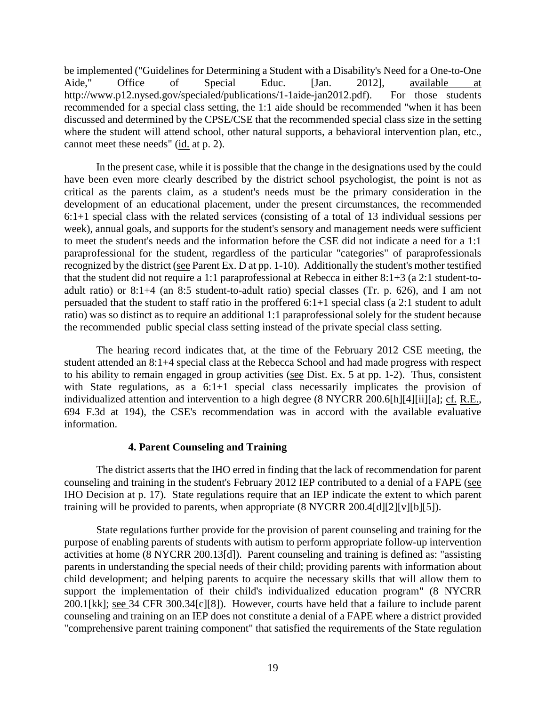be implemented ("Guidelines for Determining a Student with a Disability's Need for a One-to-One Aide," Office of Special Educ. [Jan. 2012], available at http://www.p12.nysed.gov/specialed/publications/1-1aide-jan2012.pdf). For those students recommended for a special class setting, the 1:1 aide should be recommended "when it has been discussed and determined by the CPSE/CSE that the recommended special class size in the setting where the student will attend school, other natural supports, a behavioral intervention plan, etc., cannot meet these needs" (id. at p. 2).

In the present case, while it is possible that the change in the designations used by the could have been even more clearly described by the district school psychologist, the point is not as critical as the parents claim, as a student's needs must be the primary consideration in the development of an educational placement, under the present circumstances, the recommended 6:1+1 special class with the related services (consisting of a total of 13 individual sessions per week), annual goals, and supports for the student's sensory and management needs were sufficient to meet the student's needs and the information before the CSE did not indicate a need for a 1:1 paraprofessional for the student, regardless of the particular "categories" of paraprofessionals recognized by the district (see Parent Ex. D at pp. 1-10). Additionally the student's mother testified that the student did not require a 1:1 paraprofessional at Rebecca in either 8:1+3 (a 2:1 student-toadult ratio) or 8:1+4 (an 8:5 student-to-adult ratio) special classes (Tr. p. 626), and I am not persuaded that the student to staff ratio in the proffered 6:1+1 special class (a 2:1 student to adult ratio) was so distinct as to require an additional 1:1 paraprofessional solely for the student because the recommended public special class setting instead of the private special class setting.

The hearing record indicates that, at the time of the February 2012 CSE meeting, the student attended an 8:1+4 special class at the Rebecca School and had made progress with respect to his ability to remain engaged in group activities (see Dist. Ex. 5 at pp. 1-2). Thus, consistent with State regulations, as a  $6:1+1$  special class necessarily implicates the provision of individualized attention and intervention to a high degree (8 NYCRR 200.6[h][4][ii][a]; cf. R.E., 694 F.3d at 194), the CSE's recommendation was in accord with the available evaluative information.

## **4. Parent Counseling and Training**

The district asserts that the IHO erred in finding that the lack of recommendation for parent counseling and training in the student's February 2012 IEP contributed to a denial of a FAPE (see IHO Decision at p. 17). State regulations require that an IEP indicate the extent to which parent training will be provided to parents, when appropriate (8 NYCRR 200.4[d][2][v][b][5]).

State regulations further provide for the provision of parent counseling and training for the purpose of enabling parents of students with autism to perform appropriate follow-up intervention activities at home (8 NYCRR 200.13[d]). Parent counseling and training is defined as: "assisting parents in understanding the special needs of their child; providing parents with information about child development; and helping parents to acquire the necessary skills that will allow them to support the implementation of their child's individualized education program" (8 NYCRR 200.1[kk]; see 34 CFR 300.34[c][8]). However, courts have held that a failure to include parent counseling and training on an IEP does not constitute a denial of a FAPE where a district provided "comprehensive parent training component" that satisfied the requirements of the State regulation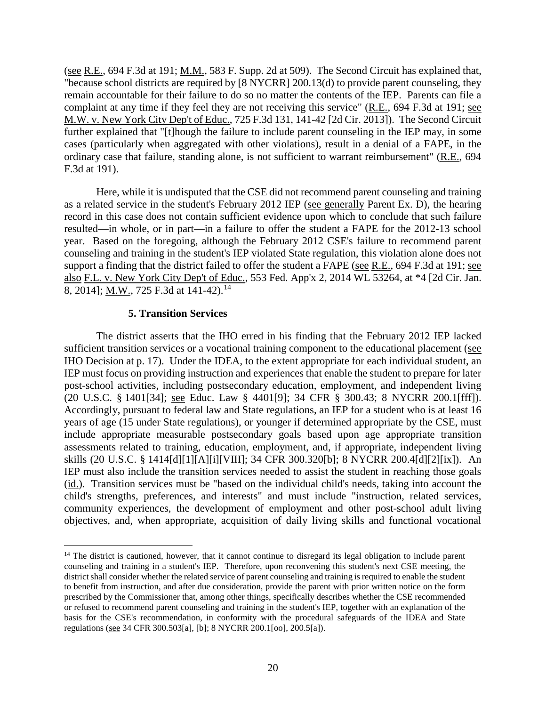(see R.E., 694 F.3d at 191; M.M., 583 F. Supp. 2d at 509). The Second Circuit has explained that, "because school districts are required by [8 NYCRR] 200.13(d) to provide parent counseling, they remain accountable for their failure to do so no matter the contents of the IEP. Parents can file a complaint at any time if they feel they are not receiving this service" (R.E., 694 F.3d at 191; see M.W. v. New York City Dep't of Educ., 725 F.3d 131, 141-42 [2d Cir. 2013]). The Second Circuit further explained that "[t]hough the failure to include parent counseling in the IEP may, in some cases (particularly when aggregated with other violations), result in a denial of a FAPE, in the ordinary case that failure, standing alone, is not sufficient to warrant reimbursement" (R.E., 694 F.3d at 191).

Here, while it is undisputed that the CSE did not recommend parent counseling and training as a related service in the student's February 2012 IEP (see generally Parent Ex. D), the hearing record in this case does not contain sufficient evidence upon which to conclude that such failure resulted—in whole, or in part—in a failure to offer the student a FAPE for the 2012-13 school year. Based on the foregoing, although the February 2012 CSE's failure to recommend parent counseling and training in the student's IEP violated State regulation, this violation alone does not support a finding that the district failed to offer the student a FAPE (see R.E., 694 F.3d at 191; see also F.L. v. New York City Dep't of Educ., 553 Fed. App'x 2, 2014 WL 53264, at \*4 [2d Cir. Jan. 8, 2014]; M.W., 725 F.3d at 141-42).<sup>14</sup>

### **5. Transition Services**

The district asserts that the IHO erred in his finding that the February 2012 IEP lacked sufficient transition services or a vocational training component to the educational placement (see IHO Decision at p. 17). Under the IDEA, to the extent appropriate for each individual student, an IEP must focus on providing instruction and experiences that enable the student to prepare for later post-school activities, including postsecondary education, employment, and independent living (20 U.S.C. § 1401[34]; see Educ. Law § 4401[9]; 34 CFR § 300.43; 8 NYCRR 200.1[fff]). Accordingly, pursuant to federal law and State regulations, an IEP for a student who is at least 16 years of age (15 under State regulations), or younger if determined appropriate by the CSE, must include appropriate measurable postsecondary goals based upon age appropriate transition assessments related to training, education, employment, and, if appropriate, independent living skills (20 U.S.C. § 1414[d][1][A][i][VIII]; 34 CFR 300.320[b]; 8 NYCRR 200.4[d][2][ix]). An IEP must also include the transition services needed to assist the student in reaching those goals (id.). Transition services must be "based on the individual child's needs, taking into account the child's strengths, preferences, and interests" and must include "instruction, related services, community experiences, the development of employment and other post-school adult living objectives, and, when appropriate, acquisition of daily living skills and functional vocational

<sup>&</sup>lt;sup>14</sup> The district is cautioned, however, that it cannot continue to disregard its legal obligation to include parent counseling and training in a student's IEP. Therefore, upon reconvening this student's next CSE meeting, the district shall consider whether the related service of parent counseling and training is required to enable the student to benefit from instruction, and after due consideration, provide the parent with prior written notice on the form prescribed by the Commissioner that, among other things, specifically describes whether the CSE recommended or refused to recommend parent counseling and training in the student's IEP, together with an explanation of the basis for the CSE's recommendation, in conformity with the procedural safeguards of the IDEA and State regulations (see 34 CFR 300.503[a], [b]; 8 NYCRR 200.1[oo], 200.5[a]).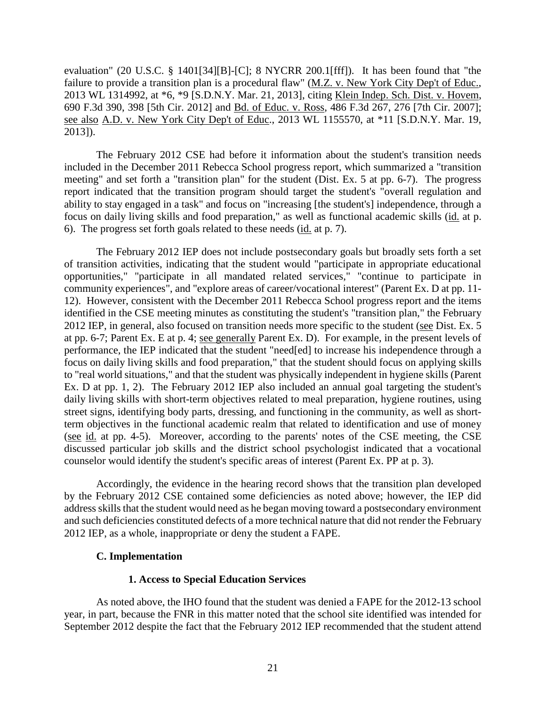evaluation" (20 U.S.C. § 1401[34][B]-[C]; 8 NYCRR 200.1[fff]). It has been found that "the failure to provide a transition plan is a procedural flaw" (M.Z. v. New York City Dep't of Educ., 2013 WL 1314992, at \*6, \*9 [S.D.N.Y. Mar. 21, 2013], citing Klein Indep. Sch. Dist. v. Hovem, 690 F.3d 390, 398 [5th Cir. 2012] and Bd. of Educ. v. Ross, 486 F.3d 267, 276 [7th Cir. 2007]; see also A.D. v. New York City Dep't of Educ., 2013 WL 1155570, at \*11 [S.D.N.Y. Mar. 19, 2013]).

The February 2012 CSE had before it information about the student's transition needs included in the December 2011 Rebecca School progress report, which summarized a "transition meeting" and set forth a "transition plan" for the student (Dist. Ex. 5 at pp. 6-7). The progress report indicated that the transition program should target the student's "overall regulation and ability to stay engaged in a task" and focus on "increasing [the student's] independence, through a focus on daily living skills and food preparation," as well as functional academic skills (id. at p. 6). The progress set forth goals related to these needs (id. at p. 7).

The February 2012 IEP does not include postsecondary goals but broadly sets forth a set of transition activities, indicating that the student would "participate in appropriate educational opportunities," "participate in all mandated related services," "continue to participate in community experiences", and "explore areas of career/vocational interest" (Parent Ex. D at pp. 11- 12). However, consistent with the December 2011 Rebecca School progress report and the items identified in the CSE meeting minutes as constituting the student's "transition plan," the February 2012 IEP, in general, also focused on transition needs more specific to the student (see Dist. Ex. 5 at pp. 6-7; Parent Ex. E at p. 4; see generally Parent Ex. D). For example, in the present levels of performance, the IEP indicated that the student "need[ed] to increase his independence through a focus on daily living skills and food preparation," that the student should focus on applying skills to "real world situations," and that the student was physically independent in hygiene skills (Parent Ex. D at pp. 1, 2). The February 2012 IEP also included an annual goal targeting the student's daily living skills with short-term objectives related to meal preparation, hygiene routines, using street signs, identifying body parts, dressing, and functioning in the community, as well as shortterm objectives in the functional academic realm that related to identification and use of money (see id. at pp. 4-5). Moreover, according to the parents' notes of the CSE meeting, the CSE discussed particular job skills and the district school psychologist indicated that a vocational counselor would identify the student's specific areas of interest (Parent Ex. PP at p. 3).

Accordingly, the evidence in the hearing record shows that the transition plan developed by the February 2012 CSE contained some deficiencies as noted above; however, the IEP did address skills that the student would need as he began moving toward a postsecondary environment and such deficiencies constituted defects of a more technical nature that did not render the February 2012 IEP, as a whole, inappropriate or deny the student a FAPE.

## **C. Implementation**

## **1. Access to Special Education Services**

As noted above, the IHO found that the student was denied a FAPE for the 2012-13 school year, in part, because the FNR in this matter noted that the school site identified was intended for September 2012 despite the fact that the February 2012 IEP recommended that the student attend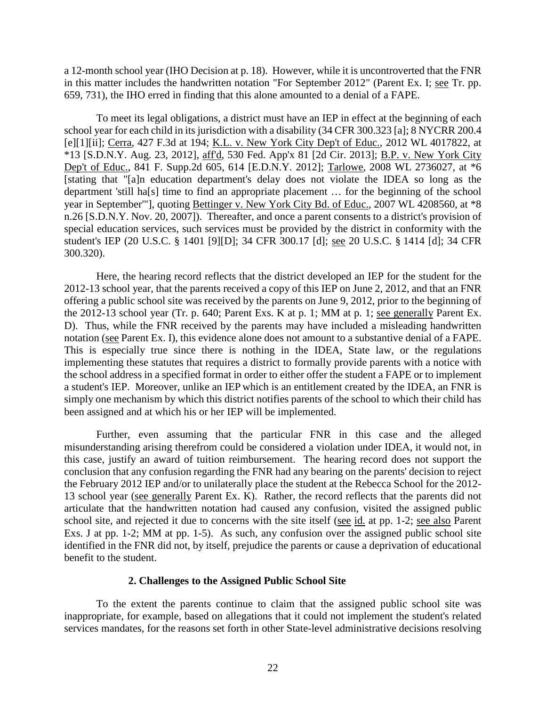a 12-month school year (IHO Decision at p. 18). However, while it is uncontroverted that the FNR in this matter includes the handwritten notation "For September 2012" (Parent Ex. I; see Tr. pp. 659, 731), the IHO erred in finding that this alone amounted to a denial of a FAPE.

To meet its legal obligations, a district must have an IEP in effect at the beginning of each school year for each child in its jurisdiction with a disability (34 CFR 300.323 [a]; 8 NYCRR 200.4 [e][1][ii]; Cerra, 427 F.3d at 194; K.L. v. New York City Dep't of Educ., 2012 WL 4017822, at \*13 [S.D.N.Y. Aug. 23, 2012], aff'd, 530 Fed. App'x 81 [2d Cir. 2013]; B.P. v. New York City Dep't of Educ., 841 F. Supp.2d 605, 614 [E.D.N.Y. 2012]; Tarlowe, 2008 WL 2736027, at \*6 [stating that "[a]n education department's delay does not violate the IDEA so long as the department 'still ha[s] time to find an appropriate placement … for the beginning of the school year in September'"], quoting Bettinger v. New York City Bd. of Educ., 2007 WL 4208560, at \*8 n.26 [S.D.N.Y. Nov. 20, 2007]). Thereafter, and once a parent consents to a district's provision of special education services, such services must be provided by the district in conformity with the student's IEP (20 U.S.C. § 1401 [9][D]; 34 CFR 300.17 [d]; see 20 U.S.C. § 1414 [d]; 34 CFR 300.320).

Here, the hearing record reflects that the district developed an IEP for the student for the 2012-13 school year, that the parents received a copy of this IEP on June 2, 2012, and that an FNR offering a public school site was received by the parents on June 9, 2012, prior to the beginning of the 2012-13 school year (Tr. p. 640; Parent Exs. K at p. 1; MM at p. 1; see generally Parent Ex. D). Thus, while the FNR received by the parents may have included a misleading handwritten notation (see Parent Ex. I), this evidence alone does not amount to a substantive denial of a FAPE. This is especially true since there is nothing in the IDEA, State law, or the regulations implementing these statutes that requires a district to formally provide parents with a notice with the school address in a specified format in order to either offer the student a FAPE or to implement a student's IEP. Moreover, unlike an IEP which is an entitlement created by the IDEA, an FNR is simply one mechanism by which this district notifies parents of the school to which their child has been assigned and at which his or her IEP will be implemented.

Further, even assuming that the particular FNR in this case and the alleged misunderstanding arising therefrom could be considered a violation under IDEA, it would not, in this case, justify an award of tuition reimbursement. The hearing record does not support the conclusion that any confusion regarding the FNR had any bearing on the parents' decision to reject the February 2012 IEP and/or to unilaterally place the student at the Rebecca School for the 2012- 13 school year (see generally Parent Ex. K). Rather, the record reflects that the parents did not articulate that the handwritten notation had caused any confusion, visited the assigned public school site, and rejected it due to concerns with the site itself (see id. at pp. 1-2; see also Parent Exs. J at pp. 1-2; MM at pp. 1-5). As such, any confusion over the assigned public school site identified in the FNR did not, by itself, prejudice the parents or cause a deprivation of educational benefit to the student.

#### **2. Challenges to the Assigned Public School Site**

To the extent the parents continue to claim that the assigned public school site was inappropriate, for example, based on allegations that it could not implement the student's related services mandates, for the reasons set forth in other State-level administrative decisions resolving